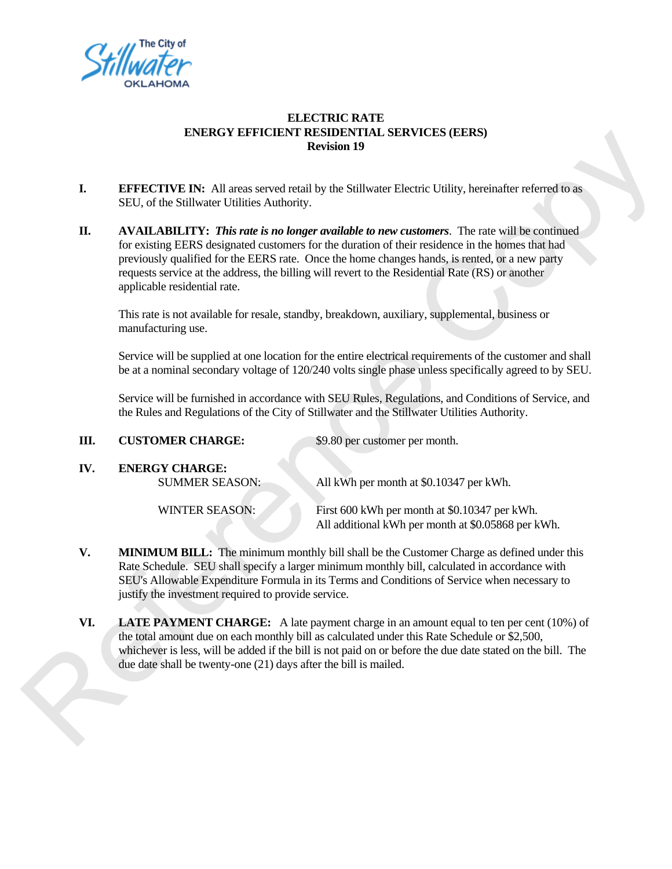

## **ELECTRIC RATE ENERGY EFFICIENT RESIDENTIAL SERVICES (EERS) Revision 19**

- **I.** EFFECTIVE IN: All areas served retail by the Stillwater Electric Utility, hereinafter referred to as SEU, of the Stillwater Utilities Authority.
- **II. AVAILABILITY:** *This rate is no longer available to new customers*. The rate will be continued for existing EERS designated customers for the duration of their residence in the homes that had previously qualified for the EERS rate. Once the home changes hands, is rented, or a new party requests service at the address, the billing will revert to the Residential Rate (RS) or another applicable residential rate.

| I.  | <b>EFFECTIVE IN:</b> All areas served retail by the Stillwater Electric Utility, hereinafter referred to as<br>SEU, of the Stillwater Utilities Authority.                                                                                                                                                                                                                                                                            |  |
|-----|---------------------------------------------------------------------------------------------------------------------------------------------------------------------------------------------------------------------------------------------------------------------------------------------------------------------------------------------------------------------------------------------------------------------------------------|--|
| П.  | AVAILABILITY: This rate is no longer available to new customers. The rate will be continued<br>for existing EERS designated customers for the duration of their residence in the homes that had<br>previously qualified for the EERS rate. Once the home changes hands, is rented, or a new party<br>requests service at the address, the billing will revert to the Residential Rate (RS) or another<br>applicable residential rate. |  |
|     | This rate is not available for resale, standby, breakdown, auxiliary, supplemental, business or<br>manufacturing use.                                                                                                                                                                                                                                                                                                                 |  |
|     | Service will be supplied at one location for the entire electrical requirements of the customer and shall<br>be at a nominal secondary voltage of 120/240 volts single phase unless specifically agreed to by SEU.                                                                                                                                                                                                                    |  |
|     | Service will be furnished in accordance with SEU Rules, Regulations, and Conditions of Service, and<br>the Rules and Regulations of the City of Stillwater and the Stillwater Utilities Authority.                                                                                                                                                                                                                                    |  |
| Ш.  | <b>CUSTOMER CHARGE:</b><br>\$9.80 per customer per month.                                                                                                                                                                                                                                                                                                                                                                             |  |
| IV. | <b>ENERGY CHARGE:</b><br><b>SUMMER SEASON:</b><br>All kWh per month at \$0.10347 per kWh.                                                                                                                                                                                                                                                                                                                                             |  |
|     | <b>WINTER SEASON:</b><br>First 600 kWh per month at \$0.10347 per kWh.<br>All additional kWh per month at \$0.05868 per kWh.                                                                                                                                                                                                                                                                                                          |  |
| V.  | <b>MINIMUM BILL:</b> The minimum monthly bill shall be the Customer Charge as defined under this<br>Rate Schedule. SEU shall specify a larger minimum monthly bill, calculated in accordance with<br>SEU's Allowable Expenditure Formula in its Terms and Conditions of Service when necessary to<br>justify the investment required to provide service.                                                                              |  |
| VI. | LATE PAYMENT CHARGE: A late payment charge in an amount equal to ten per cent (10%) of<br>the total amount due on each monthly bill as calculated under this Rate Schedule or \$2,500,<br>whichever is less, will be added if the bill is not paid on or before the due date stated on the bill. The                                                                                                                                  |  |

- **V.** MINIMUM BILL: The minimum monthly bill shall be the Customer Charge as defined under this Rate Schedule. SEU shall specify a larger minimum monthly bill, calculated in accordance with SEU's Allowable Expenditure Formula in its Terms and Conditions of Service when necessary to justify the investment required to provide service.
- **VI. LATE PAYMENT CHARGE:** A late payment charge in an amount equal to ten per cent (10%) of the total amount due on each monthly bill as calculated under this Rate Schedule or \$2,500, whichever is less, will be added if the bill is not paid on or before the due date stated on the bill. The due date shall be twenty-one (21) days after the bill is mailed.